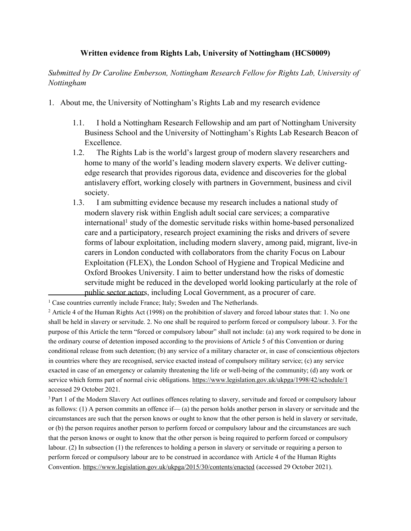## **Written evidence from Rights Lab, University of Nottingham (HCS0009)**

*Submitted by Dr Caroline Emberson, Nottingham Research Fellow for Rights Lab, University of Nottingham*

- 1. About me, the University of Nottingham's Rights Lab and my research evidence
	- 1.1. I hold a Nottingham Research Fellowship and am part of Nottingham University Business School and the University of Nottingham's Rights Lab Research Beacon of Excellence.
	- 1.2. The Rights Lab is the world's largest group of modern slavery researchers and home to many of the world's leading modern slavery experts. We deliver cuttingedge research that provides rigorous data, evidence and discoveries for the global antislavery effort, working closely with partners in Government, business and civil society.
	- 1.3. I am submitting evidence because my research includes a national study of modern slavery risk within English adult social care services; a comparative international<sup>1</sup> study of the domestic servitude risks within home-based personalized care and a participatory, research project examining the risks and drivers of severe forms of labour exploitation, including modern slavery, among paid, migrant, live-in carers in London conducted with collaborators from the charity Focus on Labour Exploitation (FLEX), the London School of Hygiene and Tropical Medicine and Oxford Brookes University. I aim to better understand how the risks of domestic servitude might be reduced in the developed world looking particularly at the role of public sector actors, including Local Government, as a procurer of care.

<sup>&</sup>lt;sup>1</sup> Case countries currently include France; Italy; Sweden and The Netherlands.

<sup>2</sup> Article 4 of the Human Rights Act (1998) on the prohibition of slavery and forced labour states that: 1. No one shall be held in slavery or servitude. 2. No one shall be required to perform forced or compulsory labour. 3. For the purpose of this Article the term "forced or compulsory labour" shall not include: (a) any work required to be done in the ordinary course of detention imposed according to the provisions of Article 5 of this Convention or during conditional release from such detention; (b) any service of a military character or, in case of conscientious objectors in countries where they are recognised, service exacted instead of compulsory military service; (c) any service exacted in case of an emergency or calamity threatening the life or well-being of the community; (d) any work or service which forms part of normal civic obligations. <https://www.legislation.gov.uk/ukpga/1998/42/schedule/1> accessed 29 October 2021.

<sup>&</sup>lt;sup>3</sup> Part 1 of the Modern Slavery Act outlines offences relating to slavery, servitude and forced or compulsory labour as follows: (1) A person commits an offence if— (a) the person holds another person in slavery or servitude and the circumstances are such that the person knows or ought to know that the other person is held in slavery or servitude, or (b) the person requires another person to perform forced or compulsory labour and the circumstances are such that the person knows or ought to know that the other person is being required to perform forced or compulsory labour. (2) In subsection [\(1\)](https://www.legislation.gov.uk/ukpga/2015/30/section/1/enacted#section-1-1) the references to holding a person in slavery or servitude or requiring a person to perform forced or compulsory labour are to be construed in accordance with Article 4 of the Human Rights Convention. <https://www.legislation.gov.uk/ukpga/2015/30/contents/enacted> (accessed 29 October 2021).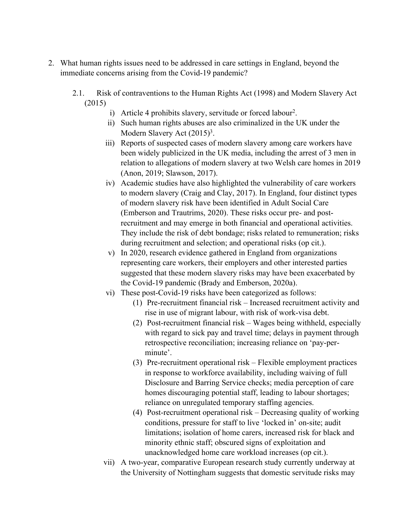- 2. What human rights issues need to be addressed in care settings in England, beyond the immediate concerns arising from the Covid-19 pandemic?
	- 2.1. Risk of contraventions to the Human Rights Act (1998) and Modern Slavery Act (2015)
		- i) Article 4 prohibits slavery, servitude or forced labour<sup>2</sup>.
		- ii) Such human rights abuses are also criminalized in the UK under the Modern Slavery Act (2015)<sup>3</sup>.
		- iii) Reports of suspected cases of modern slavery among care workers have been widely publicized in the UK media, including the arrest of 3 men in relation to allegations of modern slavery at two Welsh care homes in 2019 (Anon, 2019; Slawson, 2017).
		- iv) Academic studies have also highlighted the vulnerability of care workers to modern slavery (Craig and Clay, 2017). In England, four distinct types of modern slavery risk have been identified in Adult Social Care (Emberson and Trautrims, 2020). These risks occur pre- and postrecruitment and may emerge in both financial and operational activities. They include the risk of debt bondage; risks related to remuneration; risks during recruitment and selection; and operational risks (op cit.).
		- v) In 2020, research evidence gathered in England from organizations representing care workers, their employers and other interested parties suggested that these modern slavery risks may have been exacerbated by the Covid-19 pandemic (Brady and Emberson, 2020a).
		- vi) These post-Covid-19 risks have been categorized as follows:
			- (1) Pre-recruitment financial risk Increased recruitment activity and rise in use of migrant labour, with risk of work-visa debt.
			- (2) Post-recruitment financial risk Wages being withheld, especially with regard to sick pay and travel time; delays in payment through retrospective reconciliation; increasing reliance on 'pay-perminute'.
			- (3) Pre-recruitment operational risk Flexible employment practices in response to workforce availability, including waiving of full Disclosure and Barring Service checks; media perception of care homes discouraging potential staff, leading to labour shortages; reliance on unregulated temporary staffing agencies.
			- (4) Post-recruitment operational risk Decreasing quality of working conditions, pressure for staff to live 'locked in' on-site; audit limitations; isolation of home carers, increased risk for black and minority ethnic staff; obscured signs of exploitation and unacknowledged home care workload increases (op cit.).
		- vii) A two-year, comparative European research study currently underway at the University of Nottingham suggests that domestic servitude risks may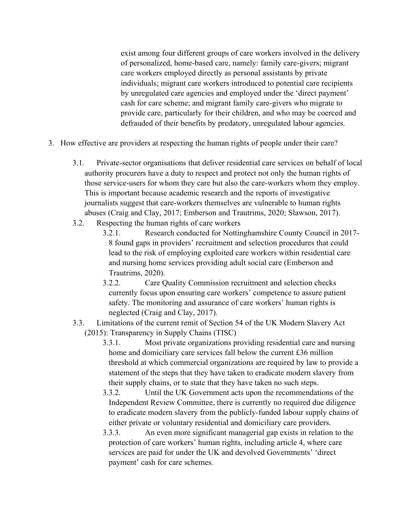exist among four different groups of care workers involved in the delivery of personalized, home-based care, namely: family care-givers; migrant care workers employed directly as personal assistants by private individuals; migrant care workers introduced to potential care recipients by unregulated care agencies and employed under the 'direct payment' cash for care scheme; and migrant family care-givers who migrate to provide care, particularly for their children, and who may be coerced and defrauded of their benefits by predatory, unregulated labour agencies.

- 3. How effective are providers at respecting the human rights of people under their care?
	- 3.1. Private-sector organisations that deliver residential care services on behalf of local authority procurers have a duty to respect and protect not only the human rights of those service-users for whom they care but also the care-workers whom they employ. This is important because academic research and the reports of investigative journalists suggest that care-workers themselves are vulnerable to human rights abuses (Craig and Clay, 2017; Emberson and Trautrims, 2020; Slawson, 2017).
	- 3.2. Respecting the human rights of care workers
		- 3.2.1. Research conducted for Nottinghamshire County Council in 2017- 8 found gaps in providers' recruitment and selection procedures that could lead to the risk of employing exploited care workers within residential care and nursing home services providing adult social care (Emberson and Trautrims, 2020).
		- 3.2.2. Care Quality Commission recruitment and selection checks currently focus upon ensuring care workers' competence to assure patient safety. The monitoring and assurance of care workers' human rights is neglected (Craig and Clay, 2017).
	- 3.3. Limitations of the current remit of Section 54 of the UK Modern Slavery Act (2015): Transparency in Supply Chains (TISC)
		- 3.3.1. Most private organizations providing residential care and nursing home and domiciliary care services fall below the current £36 million threshold at which commercial organizations are required by law to provide a statement of the steps that they have taken to eradicate modern slavery from their supply chains, or to state that they have taken no such steps.
		- 3.3.2. Until the UK Government acts upon the recommendations of the Independent Review Committee, there is currently no required due diligence to eradicate modern slavery from the publicly-funded labour supply chains of either private or voluntary residential and domiciliary care providers.
		- 3.3.3. An even more significant managerial gap exists in relation to the protection of care workers' human rights, including article 4, where care services are paid for under the UK and devolved Governments' 'direct payment' cash for care schemes.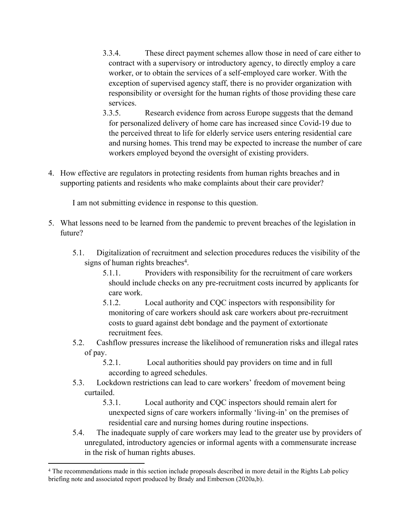- 3.3.4. These direct payment schemes allow those in need of care either to contract with a supervisory or introductory agency, to directly employ a care worker, or to obtain the services of a self-employed care worker. With the exception of supervised agency staff, there is no provider organization with responsibility or oversight for the human rights of those providing these care services.
- 3.3.5. Research evidence from across Europe suggests that the demand for personalized delivery of home care has increased since Covid-19 due to the perceived threat to life for elderly service users entering residential care and nursing homes. This trend may be expected to increase the number of care workers employed beyond the oversight of existing providers.
- 4. How effective are regulators in protecting residents from human rights breaches and in supporting patients and residents who make complaints about their care provider?

I am not submitting evidence in response to this question.

- 5. What lessons need to be learned from the pandemic to prevent breaches of the legislation in future?
	- 5.1. Digitalization of recruitment and selection procedures reduces the visibility of the signs of human rights breaches<sup>4</sup>.
		- 5.1.1. Providers with responsibility for the recruitment of care workers should include checks on any pre-recruitment costs incurred by applicants for care work.
		- 5.1.2. Local authority and CQC inspectors with responsibility for monitoring of care workers should ask care workers about pre-recruitment costs to guard against debt bondage and the payment of extortionate recruitment fees.
	- 5.2. Cashflow pressures increase the likelihood of remuneration risks and illegal rates of pay.
		- 5.2.1. Local authorities should pay providers on time and in full according to agreed schedules.
	- 5.3. Lockdown restrictions can lead to care workers' freedom of movement being curtailed.

5.3.1. Local authority and CQC inspectors should remain alert for unexpected signs of care workers informally 'living-in' on the premises of residential care and nursing homes during routine inspections.

5.4. The inadequate supply of care workers may lead to the greater use by providers of unregulated, introductory agencies or informal agents with a commensurate increase in the risk of human rights abuses.

<sup>4</sup> The recommendations made in this section include proposals described in more detail in the Rights Lab policy briefing note and associated report produced by Brady and Emberson (2020a,b).